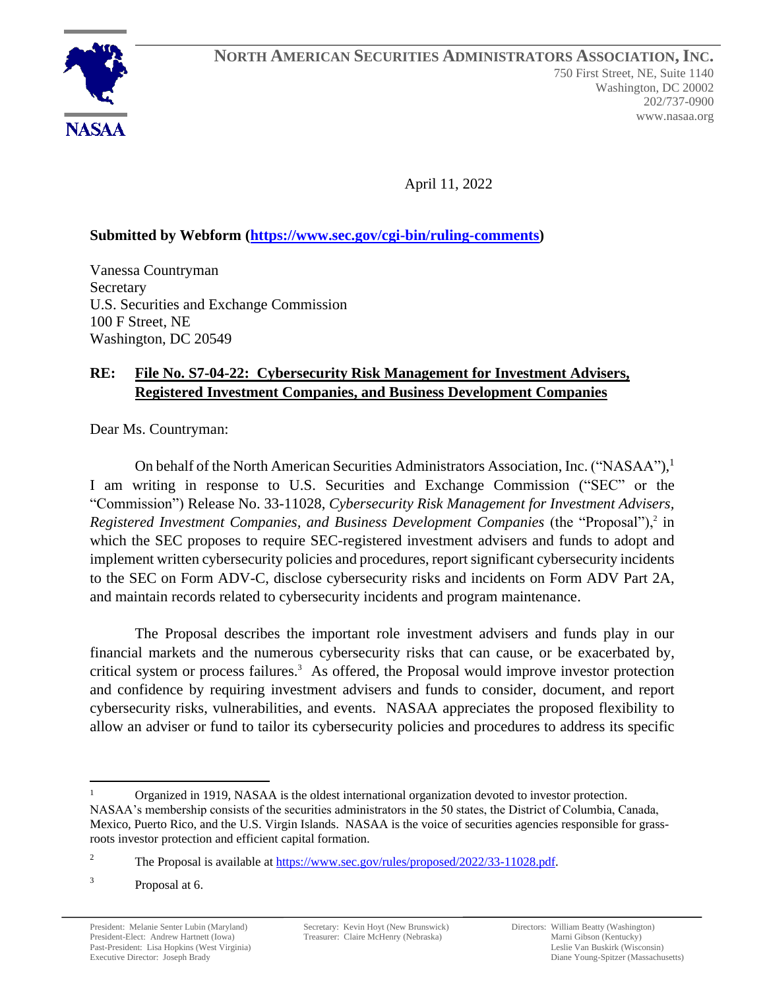April 11, 2022

# **Submitted by Webform [\(https://www.sec.gov/cgi-bin/ruling-comments\)](https://www.sec.gov/cgi-bin/ruling-comments)**

Vanessa Countryman Secretary U.S. Securities and Exchange Commission 100 F Street, NE Washington, DC 20549

# **RE: File No. S7-04-22: Cybersecurity Risk Management for Investment Advisers, Registered Investment Companies, and Business Development Companies**

Dear Ms. Countryman:

On behalf of the North American Securities Administrators Association, Inc. ("NASAA"),<sup>1</sup> I am writing in response to U.S. Securities and Exchange Commission ("SEC" or the "Commission") Release No. 33-11028, *Cybersecurity Risk Management for Investment Advisers,*  Registered Investment Companies, and Business Development Companies (the "Proposal"),<sup>2</sup> in which the SEC proposes to require SEC-registered investment advisers and funds to adopt and implement written cybersecurity policies and procedures, report significant cybersecurity incidents to the SEC on Form ADV-C, disclose cybersecurity risks and incidents on Form ADV Part 2A, and maintain records related to cybersecurity incidents and program maintenance.

The Proposal describes the important role investment advisers and funds play in our financial markets and the numerous cybersecurity risks that can cause, or be exacerbated by, critical system or process failures. $3$  As offered, the Proposal would improve investor protection and confidence by requiring investment advisers and funds to consider, document, and report cybersecurity risks, vulnerabilities, and events. NASAA appreciates the proposed flexibility to allow an adviser or fund to tailor its cybersecurity policies and procedures to address its specific

<sup>1</sup> Organized in 1919, NASAA is the oldest international organization devoted to investor protection. NASAA's membership consists of the securities administrators in the 50 states, the District of Columbia, Canada, Mexico, Puerto Rico, and the U.S. Virgin Islands. NASAA is the voice of securities agencies responsible for grassroots investor protection and efficient capital formation.

<sup>&</sup>lt;sup>2</sup> The Proposal is available at [https://www.sec.gov/rules/proposed/2022/33-11028.pdf.](https://www.sec.gov/rules/proposed/2022/33-11028.pdf)

<sup>3</sup> Proposal at 6.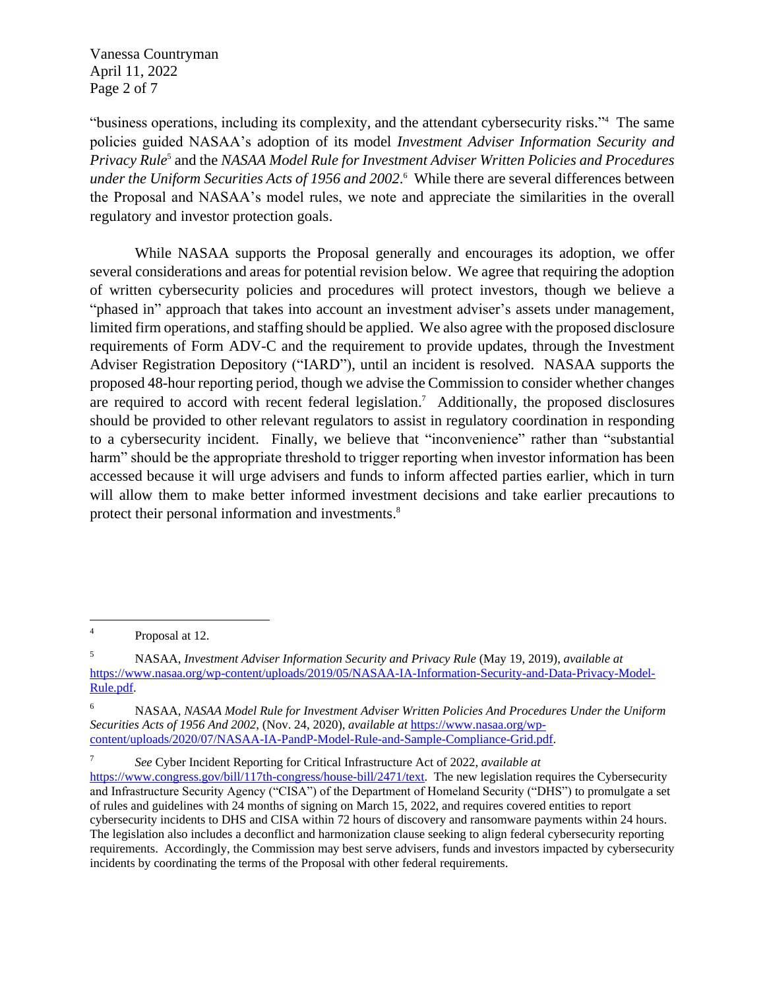Vanessa Countryman April 11, 2022 Page 2 of 7

"business operations, including its complexity, and the attendant cybersecurity risks." <sup>4</sup> The same policies guided NASAA's adoption of its model *Investment Adviser Information Security and*  Privacy Rule<sup>5</sup> and the *NASAA Model Rule for Investment Adviser Written Policies and Procedures under the Uniform Securities Acts of 1956 and 2002*. <sup>6</sup> While there are several differences between the Proposal and NASAA's model rules, we note and appreciate the similarities in the overall regulatory and investor protection goals.

While NASAA supports the Proposal generally and encourages its adoption, we offer several considerations and areas for potential revision below. We agree that requiring the adoption of written cybersecurity policies and procedures will protect investors, though we believe a "phased in" approach that takes into account an investment adviser's assets under management, limited firm operations, and staffing should be applied. We also agree with the proposed disclosure requirements of Form ADV-C and the requirement to provide updates, through the Investment Adviser Registration Depository ("IARD"), until an incident is resolved. NASAA supports the proposed 48-hour reporting period, though we advise the Commission to consider whether changes are required to accord with recent federal legislation. <sup>7</sup> Additionally, the proposed disclosures should be provided to other relevant regulators to assist in regulatory coordination in responding to a cybersecurity incident. Finally, we believe that "inconvenience" rather than "substantial harm" should be the appropriate threshold to trigger reporting when investor information has been accessed because it will urge advisers and funds to inform affected parties earlier, which in turn will allow them to make better informed investment decisions and take earlier precautions to protect their personal information and investments.<sup>8</sup>

7 *See* Cyber Incident Reporting for Critical Infrastructure Act of 2022, *available at*

<sup>4</sup> Proposal at 12.

<sup>5</sup> NASAA, *Investment Adviser Information Security and Privacy Rule* (May 19, 2019), *available at* [https://www.nasaa.org/wp-content/uploads/2019/05/NASAA-IA-Information-Security-and-Data-Privacy-Model-](https://www.nasaa.org/wp-content/uploads/2019/05/NASAA-IA-Information-Security-and-Data-Privacy-Model-Rule.pdf)[Rule.pdf.](https://www.nasaa.org/wp-content/uploads/2019/05/NASAA-IA-Information-Security-and-Data-Privacy-Model-Rule.pdf)

<sup>6</sup> NASAA, *NASAA Model Rule for Investment Adviser Written Policies And Procedures Under the Uniform Securities Acts of 1956 And 2002*, (Nov. 24, 2020), *available at* [https://www.nasaa.org/wp](https://www.nasaa.org/wp-content/uploads/2020/07/NASAA-IA-PandP-Model-Rule-and-Sample-Compliance-Grid.pdf)[content/uploads/2020/07/NASAA-IA-PandP-Model-Rule-and-Sample-Compliance-Grid.pdf.](https://www.nasaa.org/wp-content/uploads/2020/07/NASAA-IA-PandP-Model-Rule-and-Sample-Compliance-Grid.pdf)

[https://www.congress.gov/bill/117th-congress/house-bill/2471/text.](https://www.congress.gov/bill/117th-congress/house-bill/2471/text) The new legislation requires the Cybersecurity and Infrastructure Security Agency ("CISA") of the Department of Homeland Security ("DHS") to promulgate a set of rules and guidelines with 24 months of signing on March 15, 2022, and requires covered entities to report cybersecurity incidents to DHS and CISA within 72 hours of discovery and ransomware payments within 24 hours. The legislation also includes a deconflict and harmonization clause seeking to align federal cybersecurity reporting requirements. Accordingly, the Commission may best serve advisers, funds and investors impacted by cybersecurity incidents by coordinating the terms of the Proposal with other federal requirements.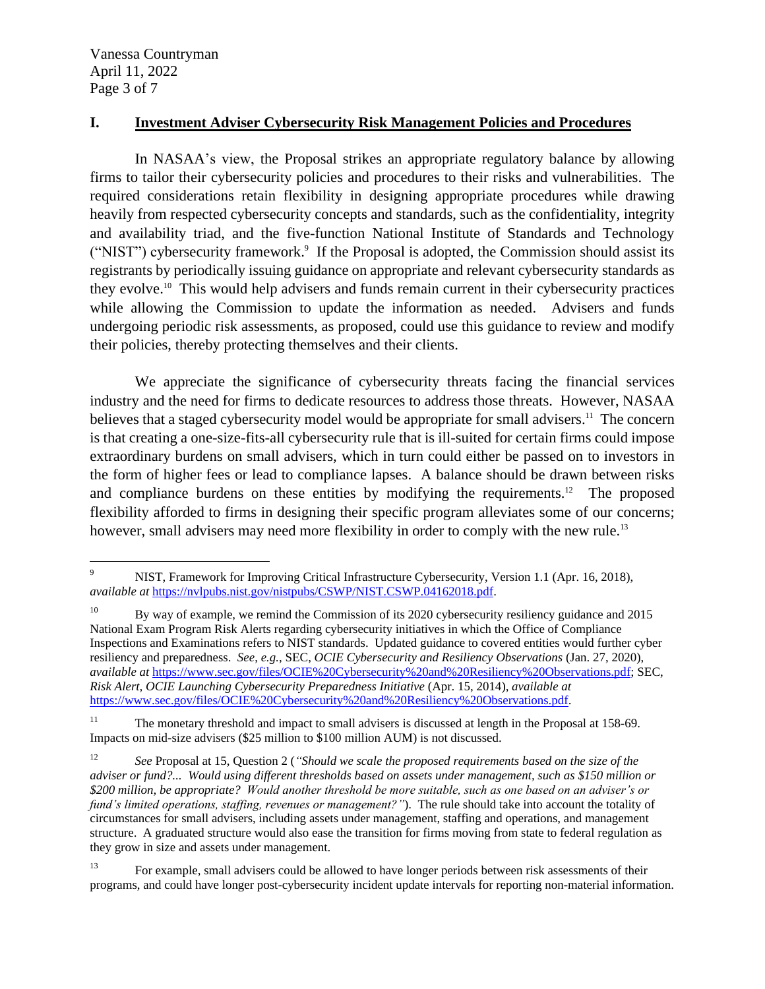Vanessa Countryman April 11, 2022 Page 3 of 7

### **I. Investment Adviser Cybersecurity Risk Management Policies and Procedures**

In NASAA's view, the Proposal strikes an appropriate regulatory balance by allowing firms to tailor their cybersecurity policies and procedures to their risks and vulnerabilities. The required considerations retain flexibility in designing appropriate procedures while drawing heavily from respected cybersecurity concepts and standards, such as the confidentiality, integrity and availability triad, and the five-function National Institute of Standards and Technology ("NIST") cybersecurity framework. 9 If the Proposal is adopted, the Commission should assist its registrants by periodically issuing guidance on appropriate and relevant cybersecurity standards as they evolve. 10 This would help advisers and funds remain current in their cybersecurity practices while allowing the Commission to update the information as needed. Advisers and funds undergoing periodic risk assessments, as proposed, could use this guidance to review and modify their policies, thereby protecting themselves and their clients.

We appreciate the significance of cybersecurity threats facing the financial services industry and the need for firms to dedicate resources to address those threats. However, NASAA believes that a staged cybersecurity model would be appropriate for small advisers.<sup>11</sup> The concern is that creating a one-size-fits-all cybersecurity rule that is ill-suited for certain firms could impose extraordinary burdens on small advisers, which in turn could either be passed on to investors in the form of higher fees or lead to compliance lapses. A balance should be drawn between risks and compliance burdens on these entities by modifying the requirements.<sup>12</sup> The proposed flexibility afforded to firms in designing their specific program alleviates some of our concerns; however, small advisers may need more flexibility in order to comply with the new rule.<sup>13</sup>

<sup>9</sup> NIST, Framework for Improving Critical Infrastructure Cybersecurity, Version 1.1 (Apr. 16, 2018), *available at* [https://nvlpubs.nist.gov/nistpubs/CSWP/NIST.CSWP.04162018.pdf.](https://nvlpubs.nist.gov/nistpubs/CSWP/NIST.CSWP.04162018.pdf)

<sup>&</sup>lt;sup>10</sup> By way of example, we remind the Commission of its 2020 cybersecurity resiliency guidance and 2015 National Exam Program Risk Alerts regarding cybersecurity initiatives in which the Office of Compliance Inspections and Examinations refers to NIST standards. Updated guidance to covered entities would further cyber resiliency and preparedness. *See*, *e.g.*, SEC, *OCIE Cybersecurity and Resiliency Observations* (Jan. 27, 2020), *available at* [https://www.sec.gov/files/OCIE%20Cybersecurity%20and%20Resiliency%20Observations.pdf;](https://www.sec.gov/files/OCIE%20Cybersecurity%20and%20Resiliency%20Observations.pdf) SEC, *Risk Alert, OCIE Launching Cybersecurity Preparedness Initiative* (Apr. 15, 2014), *available at*  [https://www.sec.gov/files/OCIE%20Cybersecurity%20and%20Resiliency%20Observations.pdf.](https://www.sec.gov/files/OCIE%20Cybersecurity%20and%20Resiliency%20Observations.pdf)

<sup>&</sup>lt;sup>11</sup> The monetary threshold and impact to small advisers is discussed at length in the Proposal at 158-69. Impacts on mid-size advisers (\$25 million to \$100 million AUM) is not discussed.

<sup>12</sup> *See* Proposal at 15, Question 2 (*"Should we scale the proposed requirements based on the size of the adviser or fund?... Would using different thresholds based on assets under management, such as \$150 million or \$200 million, be appropriate? Would another threshold be more suitable, such as one based on an adviser's or fund's limited operations, staffing, revenues or management?"*). The rule should take into account the totality of circumstances for small advisers, including assets under management, staffing and operations, and management structure. A graduated structure would also ease the transition for firms moving from state to federal regulation as they grow in size and assets under management.

<sup>&</sup>lt;sup>13</sup> For example, small advisers could be allowed to have longer periods between risk assessments of their programs, and could have longer post-cybersecurity incident update intervals for reporting non-material information.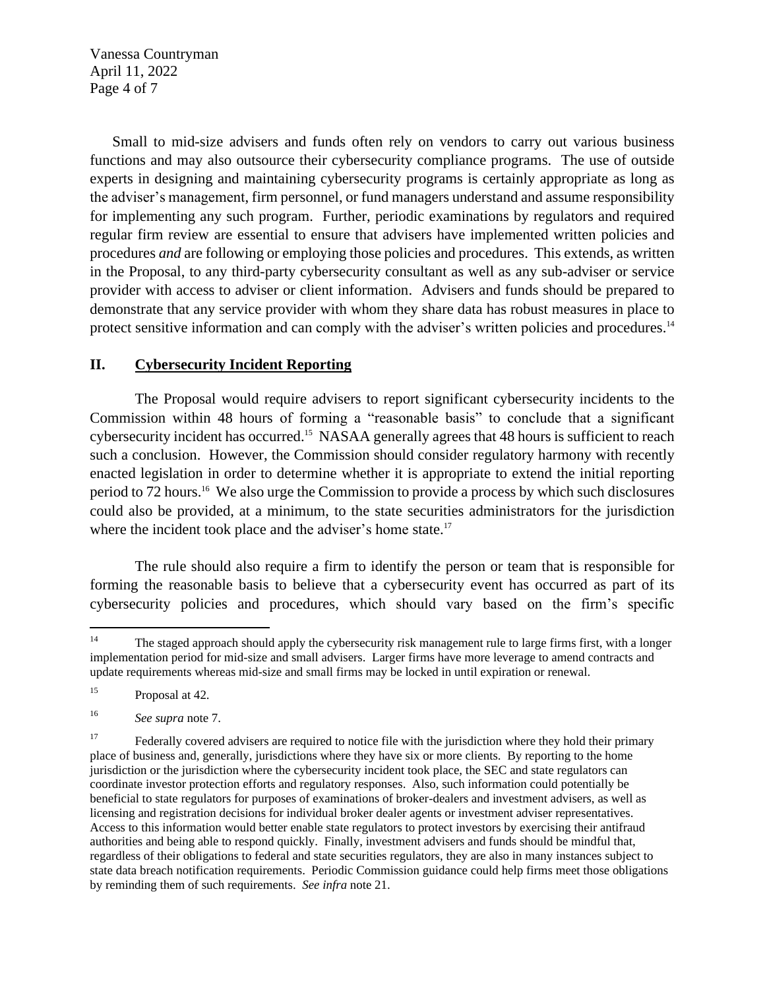Vanessa Countryman April 11, 2022 Page 4 of 7

Small to mid-size advisers and funds often rely on vendors to carry out various business functions and may also outsource their cybersecurity compliance programs. The use of outside experts in designing and maintaining cybersecurity programs is certainly appropriate as long as the adviser's management, firm personnel, or fund managers understand and assume responsibility for implementing any such program. Further, periodic examinations by regulators and required regular firm review are essential to ensure that advisers have implemented written policies and procedures *and* are following or employing those policies and procedures. This extends, as written in the Proposal, to any third-party cybersecurity consultant as well as any sub-adviser or service provider with access to adviser or client information. Advisers and funds should be prepared to demonstrate that any service provider with whom they share data has robust measures in place to protect sensitive information and can comply with the adviser's written policies and procedures.<sup>14</sup>

### **II. Cybersecurity Incident Reporting**

The Proposal would require advisers to report significant cybersecurity incidents to the Commission within 48 hours of forming a "reasonable basis" to conclude that a significant cybersecurity incident has occurred. 15 NASAA generally agrees that 48 hours is sufficient to reach such a conclusion. However, the Commission should consider regulatory harmony with recently enacted legislation in order to determine whether it is appropriate to extend the initial reporting period to 72 hours.<sup>16</sup> We also urge the Commission to provide a process by which such disclosures could also be provided, at a minimum, to the state securities administrators for the jurisdiction where the incident took place and the adviser's home state.<sup>17</sup>

The rule should also require a firm to identify the person or team that is responsible for forming the reasonable basis to believe that a cybersecurity event has occurred as part of its cybersecurity policies and procedures, which should vary based on the firm's specific

<sup>&</sup>lt;sup>14</sup> The staged approach should apply the cybersecurity risk management rule to large firms first, with a longer implementation period for mid-size and small advisers. Larger firms have more leverage to amend contracts and update requirements whereas mid-size and small firms may be locked in until expiration or renewal.

<sup>&</sup>lt;sup>15</sup> Proposal at 42.

<sup>16</sup> *See supra* note 7.

<sup>&</sup>lt;sup>17</sup> Federally covered advisers are required to notice file with the jurisdiction where they hold their primary place of business and, generally, jurisdictions where they have six or more clients. By reporting to the home jurisdiction or the jurisdiction where the cybersecurity incident took place, the SEC and state regulators can coordinate investor protection efforts and regulatory responses. Also, such information could potentially be beneficial to state regulators for purposes of examinations of broker-dealers and investment advisers, as well as licensing and registration decisions for individual broker dealer agents or investment adviser representatives. Access to this information would better enable state regulators to protect investors by exercising their antifraud authorities and being able to respond quickly. Finally, investment advisers and funds should be mindful that, regardless of their obligations to federal and state securities regulators, they are also in many instances subject to state data breach notification requirements. Periodic Commission guidance could help firms meet those obligations by reminding them of such requirements. *See infra* note 21.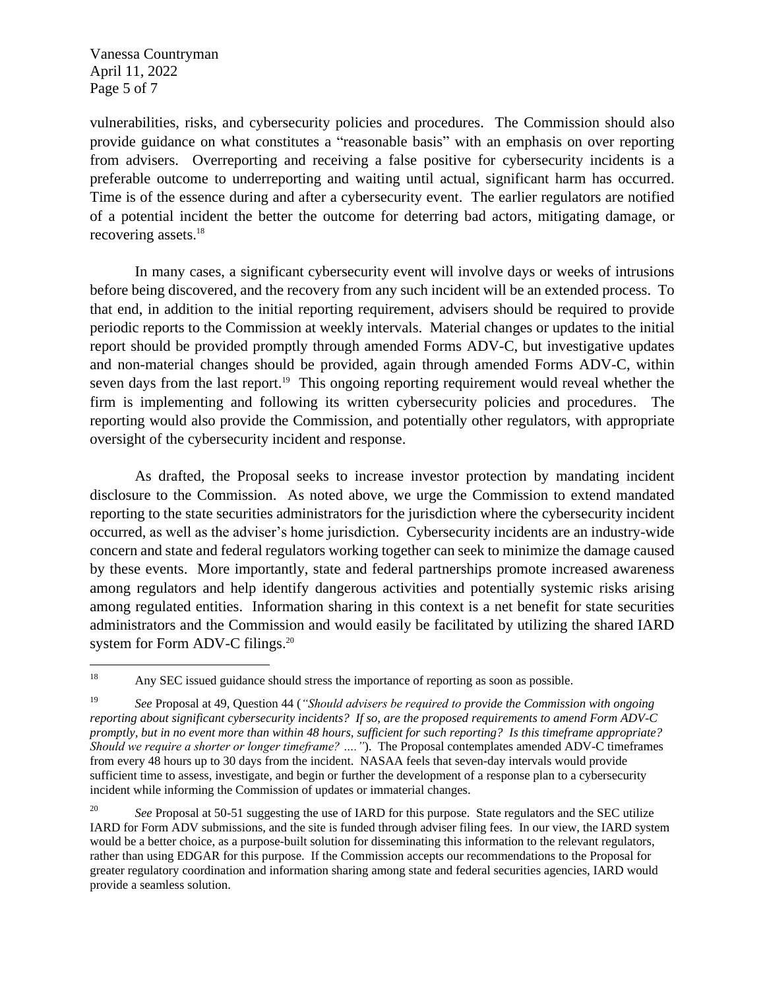Vanessa Countryman April 11, 2022 Page 5 of 7

vulnerabilities, risks, and cybersecurity policies and procedures. The Commission should also provide guidance on what constitutes a "reasonable basis" with an emphasis on over reporting from advisers. Overreporting and receiving a false positive for cybersecurity incidents is a preferable outcome to underreporting and waiting until actual, significant harm has occurred. Time is of the essence during and after a cybersecurity event. The earlier regulators are notified of a potential incident the better the outcome for deterring bad actors, mitigating damage, or recovering assets.<sup>18</sup>

In many cases, a significant cybersecurity event will involve days or weeks of intrusions before being discovered, and the recovery from any such incident will be an extended process. To that end, in addition to the initial reporting requirement, advisers should be required to provide periodic reports to the Commission at weekly intervals. Material changes or updates to the initial report should be provided promptly through amended Forms ADV-C, but investigative updates and non-material changes should be provided, again through amended Forms ADV-C, within seven days from the last report.<sup>19</sup> This ongoing reporting requirement would reveal whether the firm is implementing and following its written cybersecurity policies and procedures. The reporting would also provide the Commission, and potentially other regulators, with appropriate oversight of the cybersecurity incident and response.

As drafted, the Proposal seeks to increase investor protection by mandating incident disclosure to the Commission. As noted above, we urge the Commission to extend mandated reporting to the state securities administrators for the jurisdiction where the cybersecurity incident occurred, as well as the adviser's home jurisdiction. Cybersecurity incidents are an industry-wide concern and state and federal regulators working together can seek to minimize the damage caused by these events. More importantly, state and federal partnerships promote increased awareness among regulators and help identify dangerous activities and potentially systemic risks arising among regulated entities. Information sharing in this context is a net benefit for state securities administrators and the Commission and would easily be facilitated by utilizing the shared IARD system for Form ADV-C filings.<sup>20</sup>

<sup>&</sup>lt;sup>18</sup> Any SEC issued guidance should stress the importance of reporting as soon as possible.

<sup>19</sup> *See* Proposal at 49, Question 44 (*"Should advisers be required to provide the Commission with ongoing reporting about significant cybersecurity incidents? If so, are the proposed requirements to amend Form ADV-C promptly, but in no event more than within 48 hours, sufficient for such reporting? Is this timeframe appropriate? Should we require a shorter or longer timeframe? …."*). The Proposal contemplates amended ADV-C timeframes from every 48 hours up to 30 days from the incident. NASAA feels that seven-day intervals would provide sufficient time to assess, investigate, and begin or further the development of a response plan to a cybersecurity incident while informing the Commission of updates or immaterial changes.

<sup>&</sup>lt;sup>20</sup> *See Proposal at 50-51 suggesting the use of IARD for this purpose. State regulators and the SEC utilize* IARD for Form ADV submissions, and the site is funded through adviser filing fees. In our view, the IARD system would be a better choice, as a purpose-built solution for disseminating this information to the relevant regulators, rather than using EDGAR for this purpose. If the Commission accepts our recommendations to the Proposal for greater regulatory coordination and information sharing among state and federal securities agencies, IARD would provide a seamless solution.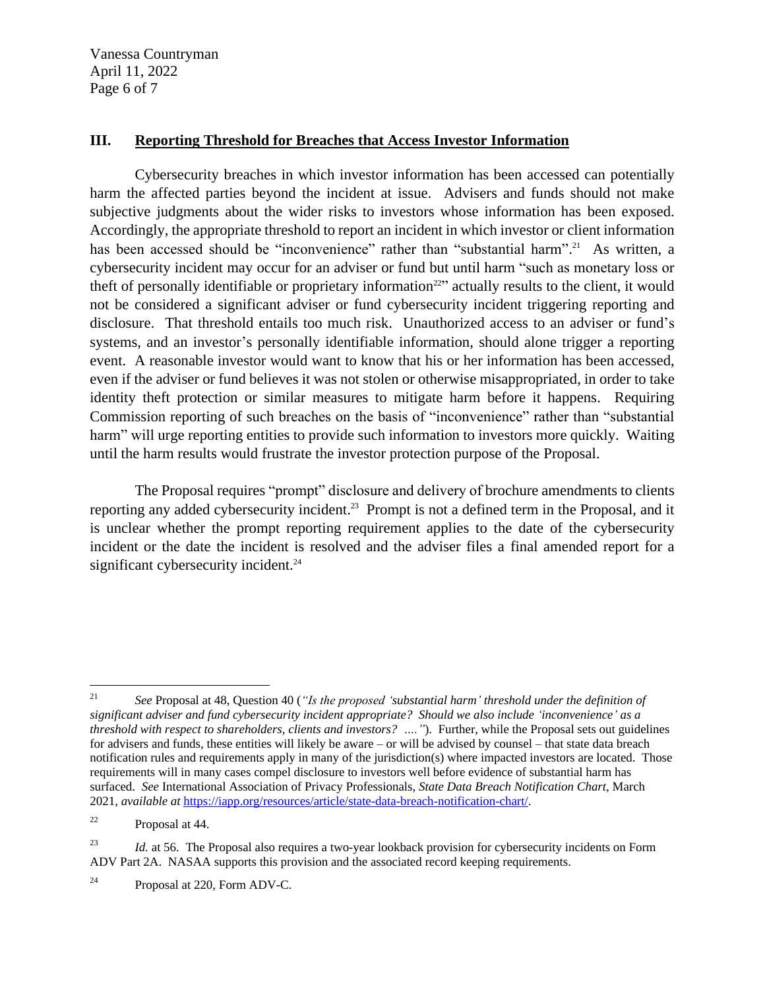Vanessa Countryman April 11, 2022 Page 6 of 7

### **III. Reporting Threshold for Breaches that Access Investor Information**

Cybersecurity breaches in which investor information has been accessed can potentially harm the affected parties beyond the incident at issue. Advisers and funds should not make subjective judgments about the wider risks to investors whose information has been exposed. Accordingly, the appropriate threshold to report an incident in which investor or client information has been accessed should be "inconvenience" rather than "substantial harm".<sup>21</sup> As written, a cybersecurity incident may occur for an adviser or fund but until harm "such as monetary loss or theft of personally identifiable or proprietary information<sup>22</sup> actually results to the client, it would not be considered a significant adviser or fund cybersecurity incident triggering reporting and disclosure. That threshold entails too much risk. Unauthorized access to an adviser or fund's systems, and an investor's personally identifiable information, should alone trigger a reporting event. A reasonable investor would want to know that his or her information has been accessed, even if the adviser or fund believes it was not stolen or otherwise misappropriated, in order to take identity theft protection or similar measures to mitigate harm before it happens. Requiring Commission reporting of such breaches on the basis of "inconvenience" rather than "substantial harm" will urge reporting entities to provide such information to investors more quickly. Waiting until the harm results would frustrate the investor protection purpose of the Proposal.

The Proposal requires "prompt" disclosure and delivery of brochure amendments to clients reporting any added cybersecurity incident.<sup>23</sup> Prompt is not a defined term in the Proposal, and it is unclear whether the prompt reporting requirement applies to the date of the cybersecurity incident or the date the incident is resolved and the adviser files a final amended report for a significant cybersecurity incident.<sup>24</sup>

<sup>21</sup> *See* Proposal at 48, Question 40 (*"Is the proposed 'substantial harm' threshold under the definition of significant adviser and fund cybersecurity incident appropriate? Should we also include 'inconvenience' as a threshold with respect to shareholders, clients and investors? …."*). Further, while the Proposal sets out guidelines for advisers and funds, these entities will likely be aware – or will be advised by counsel – that state data breach notification rules and requirements apply in many of the jurisdiction(s) where impacted investors are located. Those requirements will in many cases compel disclosure to investors well before evidence of substantial harm has surfaced. *See* International Association of Privacy Professionals, *State Data Breach Notification Chart*, March 2021, *available at* [https://iapp.org/resources/article/state-data-breach-notification-chart/.](https://iapp.org/resources/article/state-data-breach-notification-chart/)

<sup>22</sup> Proposal at 44.

<sup>&</sup>lt;sup>23</sup> *Id.* at 56. The Proposal also requires a two-year lookback provision for cybersecurity incidents on Form ADV Part 2A. NASAA supports this provision and the associated record keeping requirements.

<sup>24</sup> Proposal at 220, Form ADV-C.